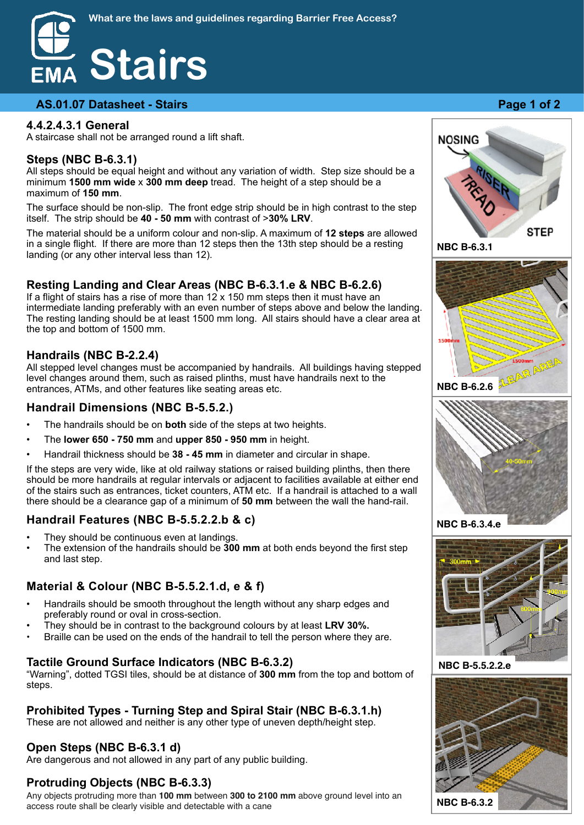#### **AS.01.07 Datasheet - Stairs <b>Page 1 of 2 Page 1 of 2**

#### **4.4.2.4.3.1 General**

A staircase shall not be arranged round a lift shaft.

#### **Steps (NBC B-6.3.1)**

All steps should be equal height and without any variation of width. Step size should be a minimum **1500 mm wide** x **300 mm deep** tread. The height of a step should be a maximum of **150 mm**.

The surface should be non-slip. The front edge strip should be in high contrast to the step itself. The strip should be **40 - 50 mm** with contrast of >**30% LRV**.

The material should be a uniform colour and non-slip. A maximum of **12 steps** are allowed in a single flight. If there are more than 12 steps then the 13th step should be a resting landing (or any other interval less than 12).

#### **Resting Landing and Clear Areas (NBC B-6.3.1.e & NBC B-6.2.6)**

If a flight of stairs has a rise of more than  $12 \times 150$  mm steps then it must have an intermediate landing preferably with an even number of steps above and below the landing. The resting landing should be at least 1500 mm long. All stairs should have a clear area at the top and bottom of 1500 mm.

#### **Handrails (NBC B-2.2.4)**

All stepped level changes must be accompanied by handrails. All buildings having stepped level changes around them, such as raised plinths, must have handrails next to the entrances, ATMs, and other features like seating areas etc.

#### **Handrail Dimensions (NBC B-5.5.2.)**

- The handrails should be on **both** side of the steps at two heights.
- The **lower 650 750 mm** and **upper 850 950 mm** in height.
- Handrail thickness should be **38 45 mm** in diameter and circular in shape.

If the steps are very wide, like at old railway stations or raised building plinths, then there should be more handrails at regular intervals or adjacent to facilities available at either end of the stairs such as entrances, ticket counters, ATM etc. If a handrail is attached to a wall there should be a clearance gap of a minimum of **50 mm** between the wall the hand-rail.

#### **Handrail Features (NBC B-5.5.2.2.b & c)**

- They should be continuous even at landings.
- The extension of the handrails should be **300 mm** at both ends beyond the first step and last step.

#### **Material & Colour (NBC B-5.5.2.1.d, e & f)**

- Handrails should be smooth throughout the length without any sharp edges and preferably round or oval in cross-section.
- They should be in contrast to the background colours by at least **LRV 30%.**
- Braille can be used on the ends of the handrail to tell the person where they are.

#### **Tactile Ground Surface Indicators (NBC B-6.3.2)**

"Warning", dotted TGSI tiles, should be at distance of **300 mm** from the top and bottom of steps.

## **Prohibited Types - Turning Step and Spiral Stair (NBC B-6.3.1.h)**

These are not allowed and neither is any other type of uneven depth/height step.

## **Open Steps (NBC B-6.3.1 d)**

Are dangerous and not allowed in any part of any public building.

# **Protruding Objects (NBC B-6.3.3)**

Any objects protruding more than **100 mm** between **300 to 2100 mm** above ground level into an access route shall be clearly visible and detectable with a cane